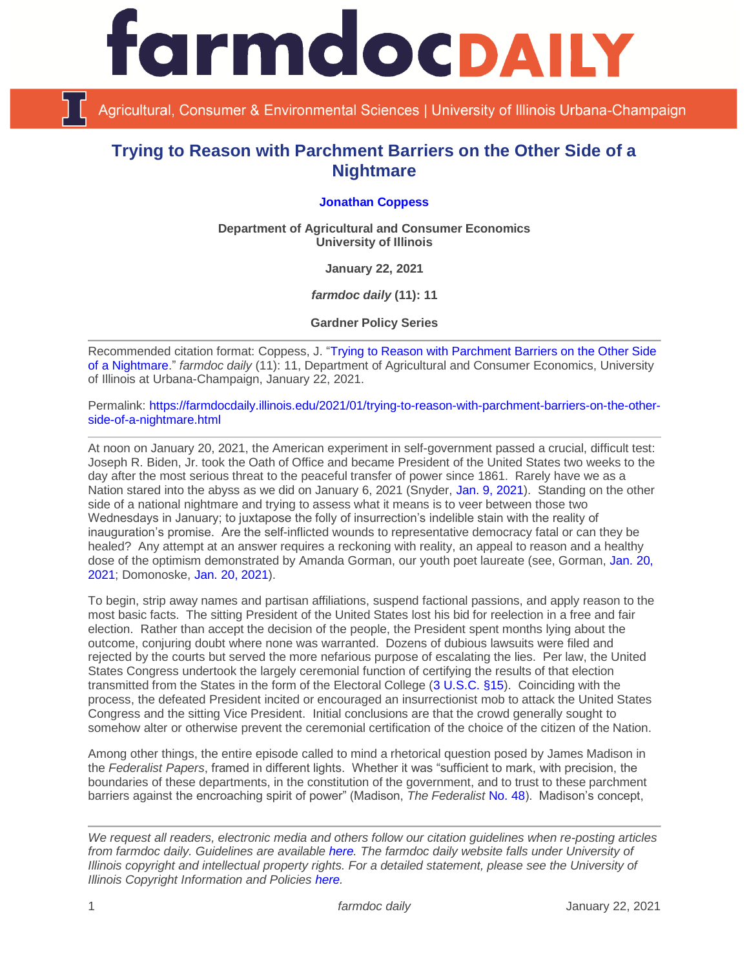

Agricultural, Consumer & Environmental Sciences | University of Illinois Urbana-Champaign

## **Trying to Reason with Parchment Barriers on the Other Side of a Nightmare**

## **[Jonathan Coppess](https://ace.illinois.edu/directory/jwcoppes)**

**Department of Agricultural and Consumer Economics University of Illinois**

**January 22, 2021**

*farmdoc daily* **(11): 11**

**Gardner Policy Series**

Recommended citation format: Coppess, J. ["Trying to Reason with Parchment Barriers on the Other Side](https://farmdocdaily.illinois.edu/2021/01/trying-to-reason-with-parchment-barriers-on-the-other-side-of-a-nightmare.html)  [of a Nightmare.](https://farmdocdaily.illinois.edu/2021/01/trying-to-reason-with-parchment-barriers-on-the-other-side-of-a-nightmare.html)" *farmdoc daily* (11): 11, Department of Agricultural and Consumer Economics, University of Illinois at Urbana-Champaign, January 22, 2021.

Permalink: [https://farmdocdaily.illinois.edu/2021/01/trying-to-reason-with-parchment-barriers-on-the-other](https://farmdocdaily.illinois.edu/2021/01/trying-to-reason-with-parchment-barriers-on-the-other-side-of-a-nightmare.html)[side-of-a-nightmare.html](https://farmdocdaily.illinois.edu/2021/01/trying-to-reason-with-parchment-barriers-on-the-other-side-of-a-nightmare.html)

At noon on January 20, 2021, the American experiment in self-government passed a crucial, difficult test: Joseph R. Biden, Jr. took the Oath of Office and became President of the United States two weeks to the day after the most serious threat to the peaceful transfer of power since 1861. Rarely have we as a Nation stared into the abyss as we did on January 6, 2021 (Snyder, [Jan. 9, 2021\)](https://www.nytimes.com/2021/01/09/magazine/trump-coup.html). Standing on the other side of a national nightmare and trying to assess what it means is to veer between those two Wednesdays in January; to juxtapose the folly of insurrection's indelible stain with the reality of inauguration's promise. Are the self-inflicted wounds to representative democracy fatal or can they be healed? Any attempt at an answer requires a reckoning with reality, an appeal to reason and a healthy dose of the optimism demonstrated by Amanda Gorman, our youth poet laureate (see, Gorman, [Jan. 20,](https://www.cnn.com/2021/01/20/politics/amanda-gorman-inaugural-poem-transcript/index.html)  [2021;](https://www.cnn.com/2021/01/20/politics/amanda-gorman-inaugural-poem-transcript/index.html) Domonoske, [Jan. 20, 2021\)](https://www.npr.org/sections/inauguration-day-live-updates/2021/01/20/958743170/poet-amanda-gorman-reads-the-hill-we-climb).

To begin, strip away names and partisan affiliations, suspend factional passions, and apply reason to the most basic facts. The sitting President of the United States lost his bid for reelection in a free and fair election. Rather than accept the decision of the people, the President spent months lying about the outcome, conjuring doubt where none was warranted. Dozens of dubious lawsuits were filed and rejected by the courts but served the more nefarious purpose of escalating the lies. Per law, the United States Congress undertook the largely ceremonial function of certifying the results of that election transmitted from the States in the form of the Electoral College [\(3 U.S.C. §15\)](https://www.govinfo.gov/content/pkg/USCODE-2014-title3/html/USCODE-2014-title3-chap1-sec15.htm). Coinciding with the process, the defeated President incited or encouraged an insurrectionist mob to attack the United States Congress and the sitting Vice President. Initial conclusions are that the crowd generally sought to somehow alter or otherwise prevent the ceremonial certification of the choice of the citizen of the Nation.

Among other things, the entire episode called to mind a rhetorical question posed by James Madison in the *Federalist Papers*, framed in different lights. Whether it was "sufficient to mark, with precision, the boundaries of these departments, in the constitution of the government, and to trust to these parchment barriers against the encroaching spirit of power" (Madison, *The Federalist* [No. 48\)](https://guides.loc.gov/federalist-papers/text-41-50#s-lg-box-wrapper-25493415). Madison's concept,

*We request all readers, electronic media and others follow our citation guidelines when re-posting articles from farmdoc daily. Guidelines are available [here.](http://farmdocdaily.illinois.edu/citationguide.html) The farmdoc daily website falls under University of Illinois copyright and intellectual property rights. For a detailed statement, please see the University of Illinois Copyright Information and Policies [here.](http://www.cio.illinois.edu/policies/copyright/)*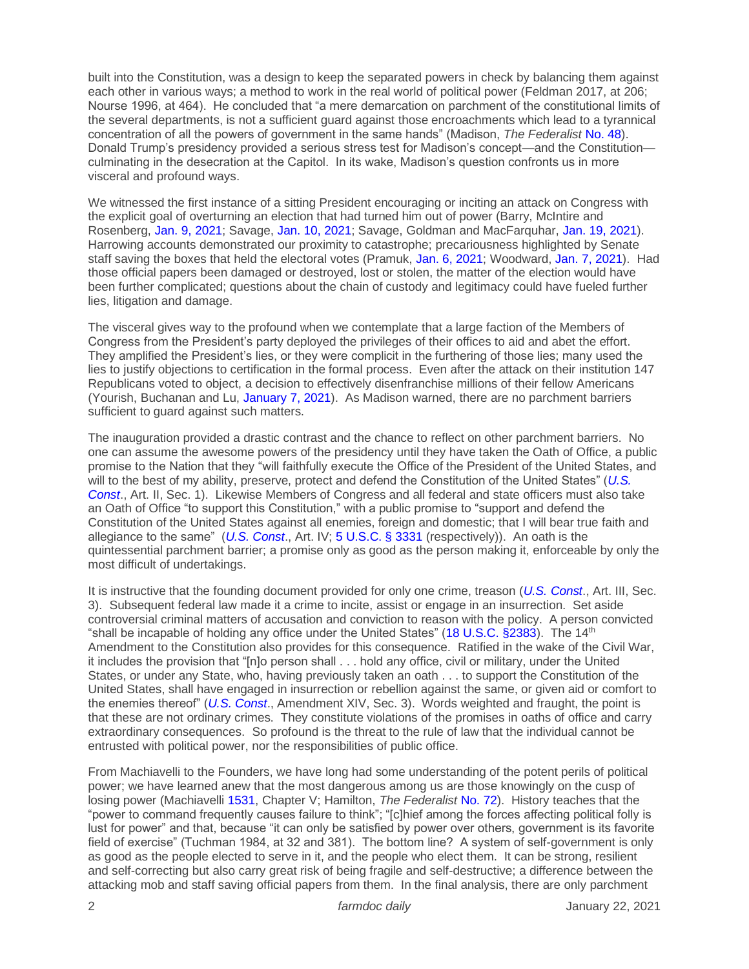built into the Constitution, was a design to keep the separated powers in check by balancing them against each other in various ways; a method to work in the real world of political power (Feldman 2017, at 206; Nourse 1996, at 464). He concluded that "a mere demarcation on parchment of the constitutional limits of the several departments, is not a sufficient guard against those encroachments which lead to a tyrannical concentration of all the powers of government in the same hands" (Madison, *The Federalist* [No. 48\)](https://guides.loc.gov/federalist-papers/text-41-50#s-lg-box-wrapper-25493415). Donald Trump's presidency provided a serious stress test for Madison's concept—and the Constitution culminating in the desecration at the Capitol. In its wake, Madison's question confronts us in more visceral and profound ways.

We witnessed the first instance of a sitting President encouraging or inciting an attack on Congress with the explicit goal of overturning an election that had turned him out of power (Barry, McIntire and Rosenberg, [Jan. 9, 2021;](https://www.nytimes.com/2021/01/09/us/capitol-rioters.html?action=click&module=RelatedLinks&pgtype=Article) Savage, [Jan. 10, 2021;](https://www.nytimes.com/2021/01/10/us/trump-speech-riot.html) Savage, Goldman and MacFarquhar, [Jan. 19, 2021\)](https://www.nytimes.com/2021/01/19/us/politics/oath-keepers-capitol-riot.html). Harrowing accounts demonstrated our proximity to catastrophe; precariousness highlighted by Senate staff saving the boxes that held the electoral votes (Pramuk, [Jan. 6, 2021;](https://www.cnbc.com/2021/01/06/electoral-college-ballots-saved-during-capitol-riots.html) Woodward, [Jan. 7, 2021\)](https://www.businessinsider.com/senate-aides-rescued-electoral-votes-before-congress-evacuated-capitol-2021-1). Had those official papers been damaged or destroyed, lost or stolen, the matter of the election would have been further complicated; questions about the chain of custody and legitimacy could have fueled further lies, litigation and damage.

The visceral gives way to the profound when we contemplate that a large faction of the Members of Congress from the President's party deployed the privileges of their offices to aid and abet the effort. They amplified the President's lies, or they were complicit in the furthering of those lies; many used the lies to justify objections to certification in the formal process. Even after the attack on their institution 147 Republicans voted to object, a decision to effectively disenfranchise millions of their fellow Americans (Yourish, Buchanan and Lu[, January 7, 2021\)](https://www.nytimes.com/interactive/2021/01/07/us/elections/electoral-college-biden-objectors.html). As Madison warned, there are no parchment barriers sufficient to guard against such matters.

The inauguration provided a drastic contrast and the chance to reflect on other parchment barriers. No one can assume the awesome powers of the presidency until they have taken the Oath of Office, a public promise to the Nation that they "will faithfully execute the Office of the President of the United States, and will to the best of my ability, preserve, protect and defend the Constitution of the United States" (*[U.S.](https://www.archives.gov/founding-docs/constitution-transcript)  [Const](https://www.archives.gov/founding-docs/constitution-transcript)*., Art. II, Sec. 1). Likewise Members of Congress and all federal and state officers must also take an Oath of Office "to support this Constitution," with a public promise to "support and defend the Constitution of the United States against all enemies, foreign and domestic; that I will bear true faith and allegiance to the same" (*[U.S. Const](https://www.archives.gov/founding-docs/constitution-transcript)*., Art. IV; [5 U.S.C. § 3331](https://www.govinfo.gov/content/pkg/USCODE-2011-title5/html/USCODE-2011-title5-partIII-subpartB-chap33-subchapII-sec3331.htm) (respectively)). An oath is the quintessential parchment barrier; a promise only as good as the person making it, enforceable by only the most difficult of undertakings.

It is instructive that the founding document provided for only one crime, treason (*[U.S. Const](https://www.archives.gov/founding-docs/constitution-transcript)*., Art. III, Sec. 3). Subsequent federal law made it a crime to incite, assist or engage in an insurrection. Set aside controversial criminal matters of accusation and conviction to reason with the policy. A person convicted "shall be incapable of holding any office under the United States" (18 U.S.C.  $\S 2383$ ). The 14<sup>th</sup> Amendment to the Constitution also provides for this consequence. Ratified in the wake of the Civil War, it includes the provision that "[n]o person shall . . . hold any office, civil or military, under the United States, or under any State, who, having previously taken an oath . . . to support the Constitution of the United States, shall have engaged in insurrection or rebellion against the same, or given aid or comfort to the enemies thereof" (*[U.S. Const](https://www.archives.gov/founding-docs/amendments-11-27)*., Amendment XIV, Sec. 3). Words weighted and fraught, the point is that these are not ordinary crimes. They constitute violations of the promises in oaths of office and carry extraordinary consequences. So profound is the threat to the rule of law that the individual cannot be entrusted with political power, nor the responsibilities of public office.

From Machiavelli to the Founders, we have long had some understanding of the potent perils of political power; we have learned anew that the most dangerous among us are those knowingly on the cusp of losing power (Machiavelli [1531,](http://www.gutenberg.org/cache/epub/10827/pg10827.html) Chapter V; Hamilton, *The Federalist* [No. 72\)](https://guides.loc.gov/federalist-papers/text-71-80). History teaches that the "power to command frequently causes failure to think"; "[c]hief among the forces affecting political folly is lust for power" and that, because "it can only be satisfied by power over others, government is its favorite field of exercise" (Tuchman 1984, at 32 and 381). The bottom line? A system of self-government is only as good as the people elected to serve in it, and the people who elect them. It can be strong, resilient and self-correcting but also carry great risk of being fragile and self-destructive; a difference between the attacking mob and staff saving official papers from them. In the final analysis, there are only parchment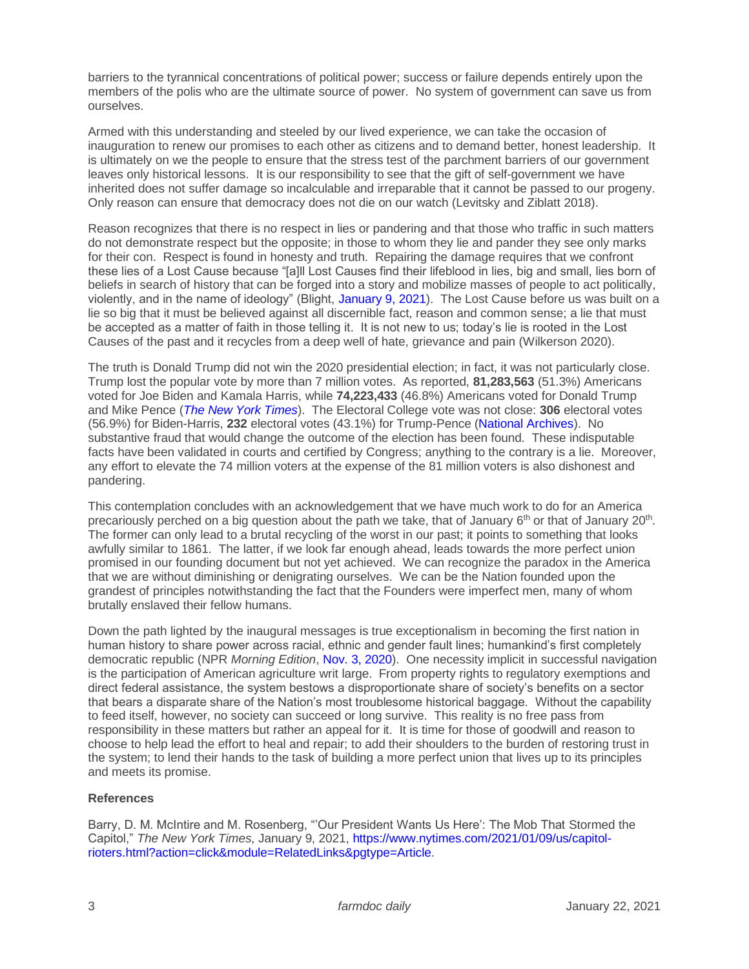barriers to the tyrannical concentrations of political power; success or failure depends entirely upon the members of the polis who are the ultimate source of power. No system of government can save us from ourselves.

Armed with this understanding and steeled by our lived experience, we can take the occasion of inauguration to renew our promises to each other as citizens and to demand better, honest leadership. It is ultimately on we the people to ensure that the stress test of the parchment barriers of our government leaves only historical lessons. It is our responsibility to see that the gift of self-government we have inherited does not suffer damage so incalculable and irreparable that it cannot be passed to our progeny. Only reason can ensure that democracy does not die on our watch (Levitsky and Ziblatt 2018).

Reason recognizes that there is no respect in lies or pandering and that those who traffic in such matters do not demonstrate respect but the opposite; in those to whom they lie and pander they see only marks for their con. Respect is found in honesty and truth. Repairing the damage requires that we confront these lies of a Lost Cause because "[a]ll Lost Causes find their lifeblood in lies, big and small, lies born of beliefs in search of history that can be forged into a story and mobilize masses of people to act politically, violently, and in the name of ideology" (Blight, [January 9, 2021\)](https://www.nytimes.com/2021/01/09/opinion/trump-capitol-lost-cause.html). The Lost Cause before us was built on a lie so big that it must be believed against all discernible fact, reason and common sense; a lie that must be accepted as a matter of faith in those telling it. It is not new to us; today's lie is rooted in the Lost Causes of the past and it recycles from a deep well of hate, grievance and pain (Wilkerson 2020).

The truth is Donald Trump did not win the 2020 presidential election; in fact, it was not particularly close. Trump lost the popular vote by more than 7 million votes. As reported, **81,283,563** (51.3%) Americans voted for Joe Biden and Kamala Harris, while **74,223,433** (46.8%) Americans voted for Donald Trump and Mike Pence (*[The New York Times](https://www.nytimes.com/interactive/2020/11/03/us/elections/results-president.html)*). The Electoral College vote was not close: **306** electoral votes (56.9%) for Biden-Harris, **232** electoral votes (43.1%) for Trump-Pence [\(National Archives\)](https://www.archives.gov/electoral-college/2020). No substantive fraud that would change the outcome of the election has been found. These indisputable facts have been validated in courts and certified by Congress; anything to the contrary is a lie. Moreover, any effort to elevate the 74 million voters at the expense of the 81 million voters is also dishonest and pandering.

This contemplation concludes with an acknowledgement that we have much work to do for an America precariously perched on a big question about the path we take, that of January 6<sup>th</sup> or that of January 20<sup>th</sup>. The former can only lead to a brutal recycling of the worst in our past; it points to something that looks awfully similar to 1861. The latter, if we look far enough ahead, leads towards the more perfect union promised in our founding document but not yet achieved. We can recognize the paradox in the America that we are without diminishing or denigrating ourselves. We can be the Nation founded upon the grandest of principles notwithstanding the fact that the Founders were imperfect men, many of whom brutally enslaved their fellow humans.

Down the path lighted by the inaugural messages is true exceptionalism in becoming the first nation in human history to share power across racial, ethnic and gender fault lines; humankind's first completely democratic republic (NPR *Morning Edition*[, Nov. 3, 2020\)](https://www.npr.org/2020/11/03/930722324/after-votes-are-counted-what-will-it-take-to-reconcile-the-country). One necessity implicit in successful navigation is the participation of American agriculture writ large. From property rights to regulatory exemptions and direct federal assistance, the system bestows a disproportionate share of society's benefits on a sector that bears a disparate share of the Nation's most troublesome historical baggage. Without the capability to feed itself, however, no society can succeed or long survive. This reality is no free pass from responsibility in these matters but rather an appeal for it. It is time for those of goodwill and reason to choose to help lead the effort to heal and repair; to add their shoulders to the burden of restoring trust in the system; to lend their hands to the task of building a more perfect union that lives up to its principles and meets its promise.

## **References**

Barry, D. M. McIntire and M. Rosenberg, "'Our President Wants Us Here': The Mob That Stormed the Capitol," *The New York Times*, January 9, 2021, [https://www.nytimes.com/2021/01/09/us/capitol](https://www.nytimes.com/2021/01/09/us/capitol-rioters.html?action=click&module=RelatedLinks&pgtype=Article)[rioters.html?action=click&module=RelatedLinks&pgtype=Article.](https://www.nytimes.com/2021/01/09/us/capitol-rioters.html?action=click&module=RelatedLinks&pgtype=Article)